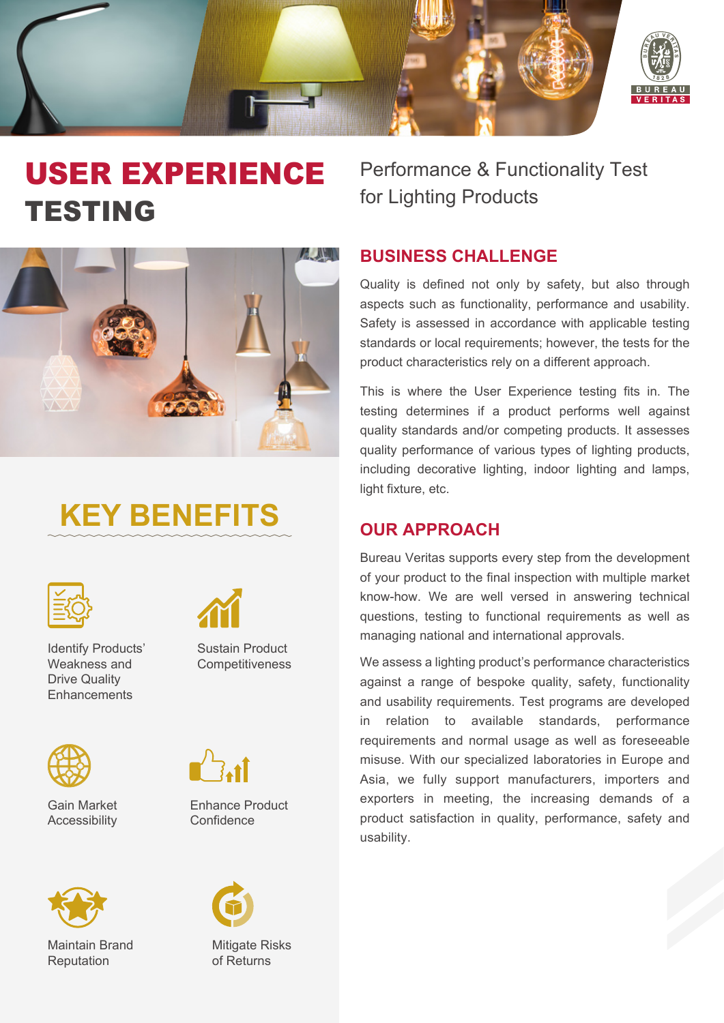

## USER EXPERIENCE TESTING



# **KEY BENEFITS**



Identify Products' Weakness and Drive Quality **Enhancements** 



Gain Market Accessibility



Maintain Brand Reputation



Sustain Product **Competitiveness** 



Enhance Product **Confidence** 



Mitigate Risks of Returns

Performance & Functionality Test for Lighting Products

## **BUSINESS CHALLENGE**

Quality is defined not only by safety, but also through aspects such as functionality, performance and usability. Safety is assessed in accordance with applicable testing standards or local requirements; however, the tests for the product characteristics rely on a different approach.

This is where the User Experience testing fits in. The testing determines if a product performs well against quality standards and/or competing products. It assesses quality performance of various types of lighting products, including decorative lighting, indoor lighting and lamps, light fixture, etc.

## **OUR APPROACH**

Bureau Veritas supports every step from the development of your product to the final inspection with multiple market know-how. We are well versed in answering technical questions, testing to functional requirements as well as managing national and international approvals.

We assess a lighting product's performance characteristics against a range of bespoke quality, safety, functionality and usability requirements. Test programs are developed in relation to available standards, performance requirements and normal usage as well as foreseeable misuse. With our specialized laboratories in Europe and Asia, we fully support manufacturers, importers and exporters in meeting, the increasing demands of a product satisfaction in quality, performance, safety and usability.